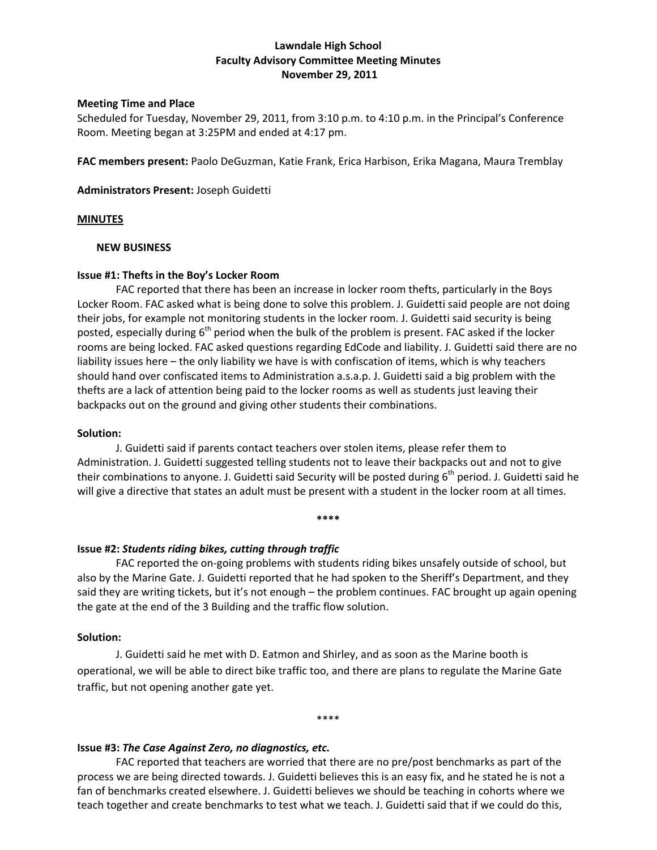## **Lawndale High School Faculty Advisory Committee Meeting Minutes November 29, 2011**

### **Meeting Time and Place**

Scheduled for Tuesday, November 29, 2011, from 3:10 p.m. to 4:10 p.m. in the Principal's Conference Room. Meeting began at 3:25PM and ended at 4:17 pm.

**FAC members present:** Paolo DeGuzman, Katie Frank, Erica Harbison, Erika Magana, Maura Tremblay

**Administrators Present:** Joseph Guidetti

### **MINUTES**

### **NEW BUSINESS**

## **Issue #1: Thefts in the Boy's Locker Room**

FAC reported that there has been an increase in locker room thefts, particularly in the Boys Locker Room. FAC asked what is being done to solve this problem. J. Guidetti said people are not doing their jobs, for example not monitoring students in the locker room. J. Guidetti said security is being posted, especially during  $6<sup>th</sup>$  period when the bulk of the problem is present. FAC asked if the locker rooms are being locked. FAC asked questions regarding EdCode and liability. J. Guidetti said there are no liability issues here – the only liability we have is with confiscation of items, which is why teachers should hand over confiscated items to Administration a.s.a.p. J. Guidetti said a big problem with the thefts are a lack of attention being paid to the locker rooms as well as students just leaving their backpacks out on the ground and giving other students their combinations.

### **Solution:**

J. Guidetti said if parents contact teachers over stolen items, please refer them to Administration. J. Guidetti suggested telling students not to leave their backpacks out and not to give their combinations to anyone. J. Guidetti said Security will be posted during  $6<sup>th</sup>$  period. J. Guidetti said he will give a directive that states an adult must be present with a student in the locker room at all times.

**\*\*\*\***

# **Issue #2:** *Students riding bikes, cutting through traffic*

FAC reported the on‐going problems with students riding bikes unsafely outside of school, but also by the Marine Gate. J. Guidetti reported that he had spoken to the Sheriff's Department, and they said they are writing tickets, but it's not enough – the problem continues. FAC brought up again opening the gate at the end of the 3 Building and the traffic flow solution.

### **Solution:**

J. Guidetti said he met with D. Eatmon and Shirley, and as soon as the Marine booth is operational, we will be able to direct bike traffic too, and there are plans to regulate the Marine Gate traffic, but not opening another gate yet.

#### \*\*\*\*

### **Issue #3:** *The Case Against Zero, no diagnostics, etc.*

FAC reported that teachers are worried that there are no pre/post benchmarks as part of the process we are being directed towards. J. Guidetti believes this is an easy fix, and he stated he is not a fan of benchmarks created elsewhere. J. Guidetti believes we should be teaching in cohorts where we teach together and create benchmarks to test what we teach. J. Guidetti said that if we could do this,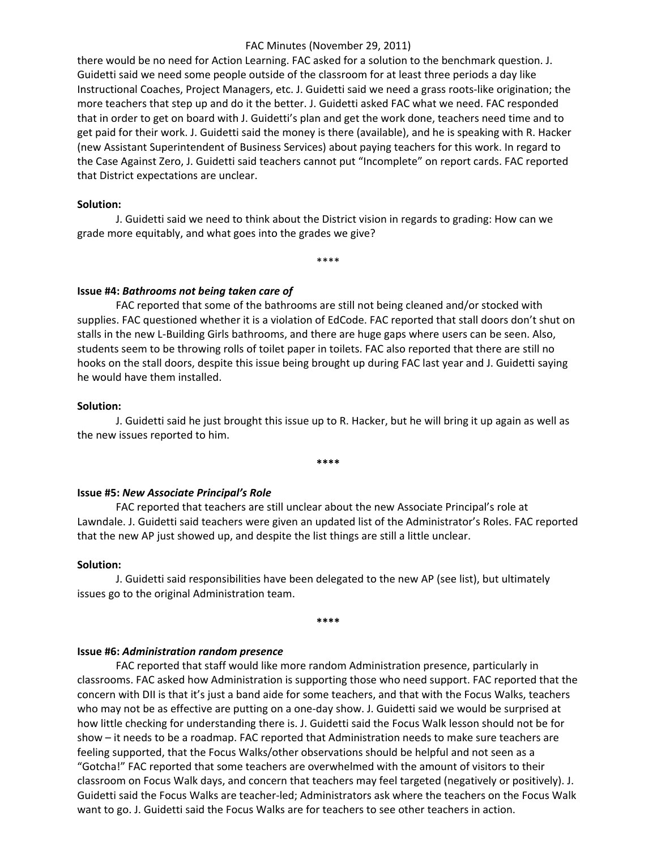### FAC Minutes (November 29, 2011)

there would be no need for Action Learning. FAC asked for a solution to the benchmark question. J. Guidetti said we need some people outside of the classroom for at least three periods a day like Instructional Coaches, Project Managers, etc. J. Guidetti said we need a grass roots‐like origination; the more teachers that step up and do it the better. J. Guidetti asked FAC what we need. FAC responded that in order to get on board with J. Guidetti's plan and get the work done, teachers need time and to get paid for their work. J. Guidetti said the money is there (available), and he is speaking with R. Hacker (new Assistant Superintendent of Business Services) about paying teachers for this work. In regard to the Case Against Zero, J. Guidetti said teachers cannot put "Incomplete" on report cards. FAC reported that District expectations are unclear.

#### **Solution:**

J. Guidetti said we need to think about the District vision in regards to grading: How can we grade more equitably, and what goes into the grades we give?

\*\*\*\*

### **Issue #4:** *Bathrooms not being taken care of*

FAC reported that some of the bathrooms are still not being cleaned and/or stocked with supplies. FAC questioned whether it is a violation of EdCode. FAC reported that stall doors don't shut on stalls in the new L‐Building Girls bathrooms, and there are huge gaps where users can be seen. Also, students seem to be throwing rolls of toilet paper in toilets. FAC also reported that there are still no hooks on the stall doors, despite this issue being brought up during FAC last year and J. Guidetti saying he would have them installed.

### **Solution:**

J. Guidetti said he just brought this issue up to R. Hacker, but he will bring it up again as well as the new issues reported to him.

**\*\*\*\***

### **Issue #5:** *New Associate Principal's Role*

FAC reported that teachers are still unclear about the new Associate Principal's role at Lawndale. J. Guidetti said teachers were given an updated list of the Administrator's Roles. FAC reported that the new AP just showed up, and despite the list things are still a little unclear.

#### **Solution:**

J. Guidetti said responsibilities have been delegated to the new AP (see list), but ultimately issues go to the original Administration team.

**\*\*\*\***

#### **Issue #6:** *Administration random presence*

FAC reported that staff would like more random Administration presence, particularly in classrooms. FAC asked how Administration is supporting those who need support. FAC reported that the concern with DII is that it's just a band aide for some teachers, and that with the Focus Walks, teachers who may not be as effective are putting on a one-day show. J. Guidetti said we would be surprised at how little checking for understanding there is. J. Guidetti said the Focus Walk lesson should not be for show – it needs to be a roadmap. FAC reported that Administration needs to make sure teachers are feeling supported, that the Focus Walks/other observations should be helpful and not seen as a "Gotcha!" FAC reported that some teachers are overwhelmed with the amount of visitors to their classroom on Focus Walk days, and concern that teachers may feel targeted (negatively or positively). J. Guidetti said the Focus Walks are teacher‐led; Administrators ask where the teachers on the Focus Walk want to go. J. Guidetti said the Focus Walks are for teachers to see other teachers in action.